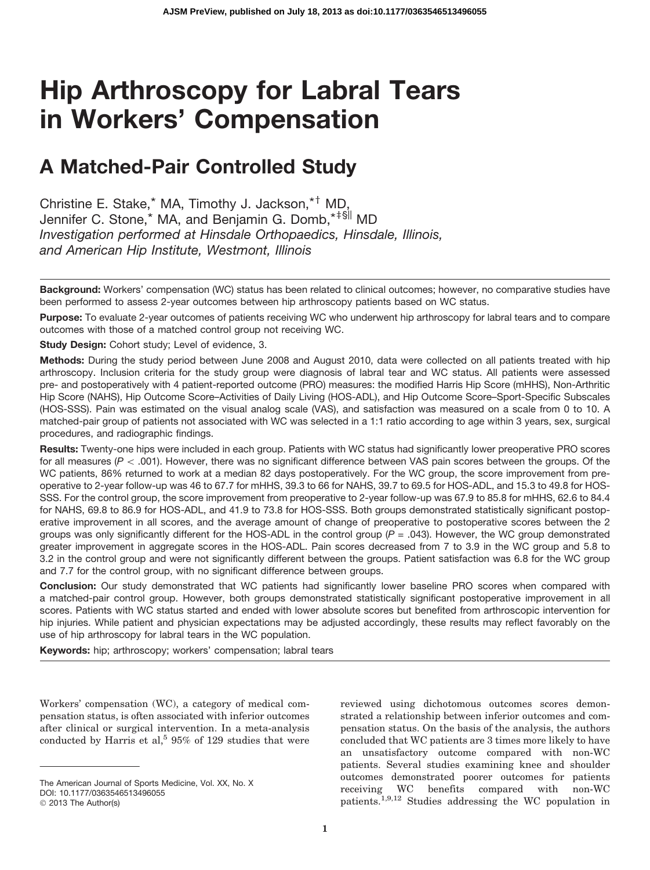# Hip Arthroscopy for Labral Tears in Workers' Compensation

# A Matched-Pair Controlled Study

Christine E. Stake,\* MA, Timothy J. Jackson,\*<sup>†</sup> MD, Jennifer C. Stone,<sup>\*</sup> MA, and Benjamin G. Domb,<sup>\*‡§||</sup> MD *Investigation performed at Hinsdale Orthopaedics, Hinsdale, Illinois, and American Hip Institute, Westmont, Illinois*

Background: Workers' compensation (WC) status has been related to clinical outcomes; however, no comparative studies have been performed to assess 2-year outcomes between hip arthroscopy patients based on WC status.

Purpose: To evaluate 2-year outcomes of patients receiving WC who underwent hip arthroscopy for labral tears and to compare outcomes with those of a matched control group not receiving WC.

Study Design: Cohort study; Level of evidence, 3.

Methods: During the study period between June 2008 and August 2010, data were collected on all patients treated with hip arthroscopy. Inclusion criteria for the study group were diagnosis of labral tear and WC status. All patients were assessed pre- and postoperatively with 4 patient-reported outcome (PRO) measures: the modified Harris Hip Score (mHHS), Non-Arthritic Hip Score (NAHS), Hip Outcome Score–Activities of Daily Living (HOS-ADL), and Hip Outcome Score–Sport-Specific Subscales (HOS-SSS). Pain was estimated on the visual analog scale (VAS), and satisfaction was measured on a scale from 0 to 10. A matched-pair group of patients not associated with WC was selected in a 1:1 ratio according to age within 3 years, sex, surgical procedures, and radiographic findings.

Results: Twenty-one hips were included in each group. Patients with WC status had significantly lower preoperative PRO scores for all measures ( $P < .001$ ). However, there was no significant difference between VAS pain scores between the groups. Of the WC patients, 86% returned to work at a median 82 days postoperatively. For the WC group, the score improvement from preoperative to 2-year follow-up was 46 to 67.7 for mHHS, 39.3 to 66 for NAHS, 39.7 to 69.5 for HOS-ADL, and 15.3 to 49.8 for HOS-SSS. For the control group, the score improvement from preoperative to 2-year follow-up was 67.9 to 85.8 for mHHS, 62.6 to 84.4 for NAHS, 69.8 to 86.9 for HOS-ADL, and 41.9 to 73.8 for HOS-SSS. Both groups demonstrated statistically significant postoperative improvement in all scores, and the average amount of change of preoperative to postoperative scores between the 2 groups was only significantly different for the HOS-ADL in the control group (*P* = .043). However, the WC group demonstrated greater improvement in aggregate scores in the HOS-ADL. Pain scores decreased from 7 to 3.9 in the WC group and 5.8 to 3.2 in the control group and were not significantly different between the groups. Patient satisfaction was 6.8 for the WC group and 7.7 for the control group, with no significant difference between groups.

Conclusion: Our study demonstrated that WC patients had significantly lower baseline PRO scores when compared with a matched-pair control group. However, both groups demonstrated statistically significant postoperative improvement in all scores. Patients with WC status started and ended with lower absolute scores but benefited from arthroscopic intervention for hip injuries. While patient and physician expectations may be adjusted accordingly, these results may reflect favorably on the use of hip arthroscopy for labral tears in the WC population.

Keywords: hip; arthroscopy; workers' compensation; labral tears

Workers' compensation (WC), a category of medical compensation status, is often associated with inferior outcomes after clinical or surgical intervention. In a meta-analysis conducted by Harris et al,<sup>5</sup> 95% of 129 studies that were reviewed using dichotomous outcomes scores demonstrated a relationship between inferior outcomes and compensation status. On the basis of the analysis, the authors concluded that WC patients are 3 times more likely to have an unsatisfactory outcome compared with non-WC patients. Several studies examining knee and shoulder outcomes demonstrated poorer outcomes for patients receiving WC benefits compared with non-WC patients.1,9,12 Studies addressing the WC population in

The American Journal of Sports Medicine, Vol. XX, No. X DOI: 10.1177/0363546513496055

<sup>© 2013</sup> The Author(s)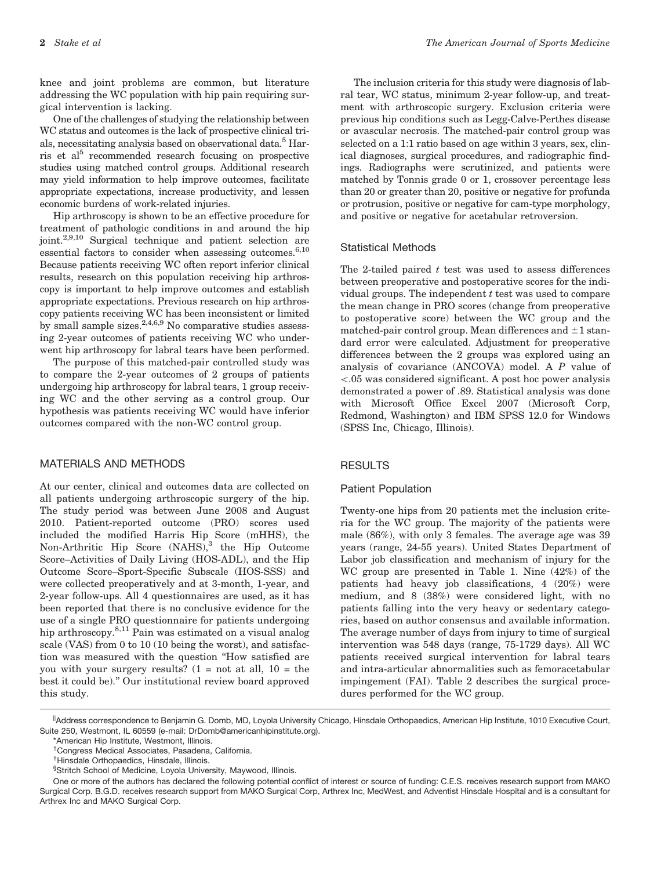knee and joint problems are common, but literature addressing the WC population with hip pain requiring surgical intervention is lacking.

One of the challenges of studying the relationship between WC status and outcomes is the lack of prospective clinical trials, necessitating analysis based on observational data.5 Harris et al<sup>5</sup> recommended research focusing on prospective studies using matched control groups. Additional research may yield information to help improve outcomes, facilitate appropriate expectations, increase productivity, and lessen economic burdens of work-related injuries.

Hip arthroscopy is shown to be an effective procedure for treatment of pathologic conditions in and around the hip joint.2,9,10 Surgical technique and patient selection are essential factors to consider when assessing outcomes. $6,10$ Because patients receiving WC often report inferior clinical results, research on this population receiving hip arthroscopy is important to help improve outcomes and establish appropriate expectations. Previous research on hip arthroscopy patients receiving WC has been inconsistent or limited by small sample sizes.  $2,4,6,9$  No comparative studies assessing 2-year outcomes of patients receiving WC who underwent hip arthroscopy for labral tears have been performed.

The purpose of this matched-pair controlled study was to compare the 2-year outcomes of 2 groups of patients undergoing hip arthroscopy for labral tears, 1 group receiving WC and the other serving as a control group. Our hypothesis was patients receiving WC would have inferior outcomes compared with the non-WC control group.

#### MATERIALS AND METHODS

At our center, clinical and outcomes data are collected on all patients undergoing arthroscopic surgery of the hip. The study period was between June 2008 and August 2010. Patient-reported outcome (PRO) scores used included the modified Harris Hip Score (mHHS), the Non-Arthritic Hip Score  $(NAHS),<sup>3</sup>$  the Hip Outcome Score–Activities of Daily Living (HOS-ADL), and the Hip Outcome Score–Sport-Specific Subscale (HOS-SSS) and were collected preoperatively and at 3-month, 1-year, and 2-year follow-ups. All 4 questionnaires are used, as it has been reported that there is no conclusive evidence for the use of a single PRO questionnaire for patients undergoing hip arthroscopy.<sup>8,11</sup> Pain was estimated on a visual analog scale (VAS) from 0 to 10 (10 being the worst), and satisfaction was measured with the question ''How satisfied are you with your surgery results?  $(1 = \text{not at all}, 10 = \text{the})$ best it could be).'' Our institutional review board approved this study.

The inclusion criteria for this study were diagnosis of labral tear, WC status, minimum 2-year follow-up, and treatment with arthroscopic surgery. Exclusion criteria were previous hip conditions such as Legg-Calve-Perthes disease or avascular necrosis. The matched-pair control group was selected on a 1:1 ratio based on age within 3 years, sex, clinical diagnoses, surgical procedures, and radiographic findings. Radiographs were scrutinized, and patients were matched by Tonnis grade 0 or 1, crossover percentage less than 20 or greater than 20, positive or negative for profunda or protrusion, positive or negative for cam-type morphology, and positive or negative for acetabular retroversion.

## Statistical Methods

The 2-tailed paired  $t$  test was used to assess differences between preoperative and postoperative scores for the individual groups. The independent  $t$  test was used to compare the mean change in PRO scores (change from preoperative to postoperative score) between the WC group and the matched-pair control group. Mean differences and  $\pm 1$  standard error were calculated. Adjustment for preoperative differences between the 2 groups was explored using an analysis of covariance (ANCOVA) model. A P value of  $\lt$ .05 was considered significant. A post hoc power analysis demonstrated a power of .89. Statistical analysis was done with Microsoft Office Excel 2007 (Microsoft Corp, Redmond, Washington) and IBM SPSS 12.0 for Windows (SPSS Inc, Chicago, Illinois).

#### RESULTS

#### Patient Population

Twenty-one hips from 20 patients met the inclusion criteria for the WC group. The majority of the patients were male (86%), with only 3 females. The average age was 39 years (range, 24-55 years). United States Department of Labor job classification and mechanism of injury for the WC group are presented in Table 1. Nine (42%) of the patients had heavy job classifications, 4 (20%) were medium, and 8 (38%) were considered light, with no patients falling into the very heavy or sedentary categories, based on author consensus and available information. The average number of days from injury to time of surgical intervention was 548 days (range, 75-1729 days). All WC patients received surgical intervention for labral tears and intra-articular abnormalities such as femoracetabular impingement (FAI). Table 2 describes the surgical procedures performed for the WC group.

<sup>||</sup>Address correspondence to Benjamin G. Domb, MD, Loyola University Chicago, Hinsdale Orthopaedics, American Hip Institute, 1010 Executive Court, Suite 250, Westmont, IL 60559 (e-mail: DrDomb@americanhipinstitute.org).

<sup>\*</sup>American Hip Institute, Westmont, Illinois.

<sup>&</sup>lt;sup>†</sup>Congress Medical Associates, Pasadena, California.

z Hinsdale Orthopaedics, Hinsdale, Illinois.

<sup>§</sup> Stritch School of Medicine, Loyola University, Maywood, Illinois.

One or more of the authors has declared the following potential conflict of interest or source of funding: C.E.S. receives research support from MAKO Surgical Corp. B.G.D. receives research support from MAKO Surgical Corp, Arthrex Inc, MedWest, and Adventist Hinsdale Hospital and is a consultant for Arthrex Inc and MAKO Surgical Corp.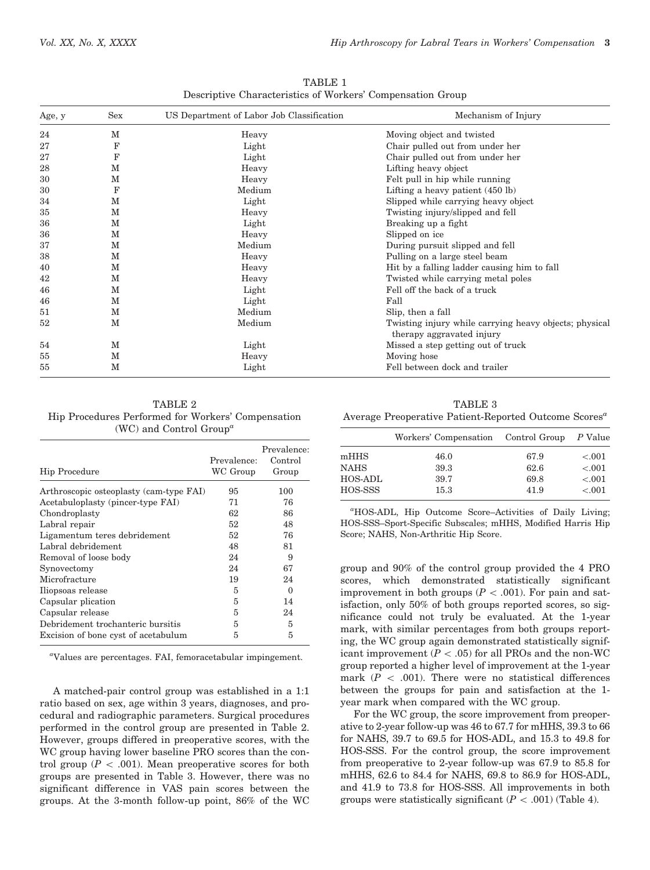| Age, y | Sex | US Department of Labor Job Classification | Mechanism of Injury                                                                 |  |  |  |
|--------|-----|-------------------------------------------|-------------------------------------------------------------------------------------|--|--|--|
| 24     | М   | Heavy                                     | Moving object and twisted                                                           |  |  |  |
| 27     | F   | Light                                     | Chair pulled out from under her                                                     |  |  |  |
| 27     | F   | Light                                     | Chair pulled out from under her                                                     |  |  |  |
| 28     | м   | Heavy                                     | Lifting heavy object                                                                |  |  |  |
| 30     | М   | Heavy                                     | Felt pull in hip while running                                                      |  |  |  |
| 30     | F   | Medium                                    | Lifting a heavy patient $(450 \text{ lb})$                                          |  |  |  |
| 34     | М   | Light                                     | Slipped while carrying heavy object                                                 |  |  |  |
| 35     | м   | Heavy                                     | Twisting injury/slipped and fell                                                    |  |  |  |
| 36     | м   | Light                                     | Breaking up a fight                                                                 |  |  |  |
| 36     | м   | Heavy                                     | Slipped on ice                                                                      |  |  |  |
| 37     | M   | Medium                                    | During pursuit slipped and fell                                                     |  |  |  |
| 38     | м   | Heavy                                     | Pulling on a large steel beam                                                       |  |  |  |
| 40     | м   | Heavy                                     | Hit by a falling ladder causing him to fall                                         |  |  |  |
| 42     | м   | Heavy                                     | Twisted while carrying metal poles                                                  |  |  |  |
| 46     | М   | Light                                     | Fell off the back of a truck                                                        |  |  |  |
| 46     | м   | Light                                     | Fall                                                                                |  |  |  |
| 51     | М   | Medium                                    | Slip, then a fall                                                                   |  |  |  |
| 52     | M   | Medium                                    | Twisting injury while carrying heavy objects; physical<br>therapy aggravated injury |  |  |  |
| 54     | м   | Light                                     | Missed a step getting out of truck                                                  |  |  |  |
| 55     | М   | Heavy                                     | Moving hose                                                                         |  |  |  |
| 55     | M   | Light                                     | Fell between dock and trailer                                                       |  |  |  |

TABLE 1 Descriptive Characteristics of Workers' Compensation Group

TABLE 2 Hip Procedures Performed for Workers' Compensation (WC) and Control Group<sup> $a$ </sup>

| <b>Hip Procedure</b>                    | Prevalence:<br>WC Group | Prevalence:<br>Control<br>Group |
|-----------------------------------------|-------------------------|---------------------------------|
| Arthroscopic osteoplasty (cam-type FAI) | 95                      | 100                             |
| Acetabuloplasty (pincer-type FAI)       | 71                      | 76                              |
| Chondroplasty                           | 62                      | 86                              |
| Labral repair                           | 52                      | 48                              |
| Ligamentum teres debridement            | 52                      | 76                              |
| Labral debridement                      | 48                      | 81                              |
| Removal of loose body                   | 24                      | 9                               |
| Synovectomy                             | 24                      | 67                              |
| Microfracture                           | 19                      | 24                              |
| Iliopsoas release                       | 5                       | 0                               |
| Capsular plication                      | 5                       | 14                              |
| Capsular release                        | 5                       | 24                              |
| Debridement trochanteric bursitis       | 5                       | 5                               |
| Excision of bone cyst of acetabulum     | 5                       | 5                               |

a Values are percentages. FAI, femoracetabular impingement.

A matched-pair control group was established in a 1:1 ratio based on sex, age within 3 years, diagnoses, and procedural and radiographic parameters. Surgical procedures performed in the control group are presented in Table 2. However, groups differed in preoperative scores, with the WC group having lower baseline PRO scores than the control group ( $P < .001$ ). Mean preoperative scores for both groups are presented in Table 3. However, there was no significant difference in VAS pain scores between the groups. At the 3-month follow-up point, 86% of the WC

TABLE 3

Average Preoperative Patient-Reported Outcome Scores<sup>a</sup>

|             | Workers' Compensation Control Group P Value |      |         |
|-------------|---------------------------------------------|------|---------|
| mHHS        | 46.0                                        | 67.9 | < 0.001 |
| <b>NAHS</b> | 39.3                                        | 62.6 | $-.001$ |
| HOS-ADL     | 39.7                                        | 69.8 | $-.001$ |
| HOS-SSS     | 15.3                                        | 41.9 | $-.001$ |

a HOS-ADL, Hip Outcome Score–Activities of Daily Living; HOS-SSS–Sport-Specific Subscales; mHHS, Modified Harris Hip Score; NAHS, Non-Arthritic Hip Score.

group and 90% of the control group provided the 4 PRO scores, which demonstrated statistically significant improvement in both groups ( $P < .001$ ). For pain and satisfaction, only 50% of both groups reported scores, so significance could not truly be evaluated. At the 1-year mark, with similar percentages from both groups reporting, the WC group again demonstrated statistically significant improvement ( $P < .05$ ) for all PROs and the non-WC group reported a higher level of improvement at the 1-year mark  $(P \, < \, .001)$ . There were no statistical differences between the groups for pain and satisfaction at the 1 year mark when compared with the WC group.

For the WC group, the score improvement from preoperative to 2-year follow-up was 46 to 67.7 for mHHS, 39.3 to 66 for NAHS, 39.7 to 69.5 for HOS-ADL, and 15.3 to 49.8 for HOS-SSS. For the control group, the score improvement from preoperative to 2-year follow-up was 67.9 to 85.8 for mHHS, 62.6 to 84.4 for NAHS, 69.8 to 86.9 for HOS-ADL, and 41.9 to 73.8 for HOS-SSS. All improvements in both groups were statistically significant  $(P < .001)$  (Table 4).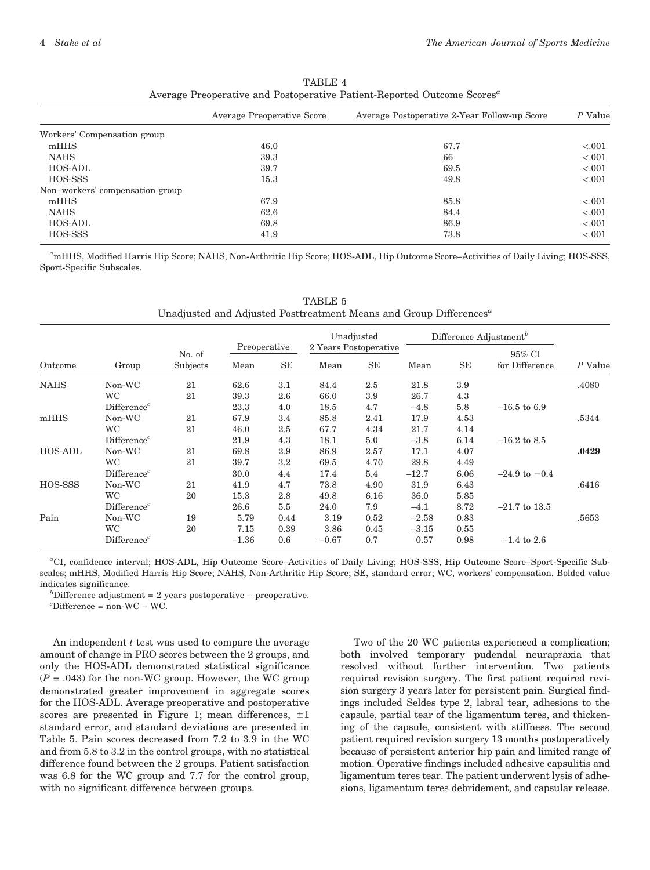|                                 | Average Preoperative Score | Average Postoperative 2-Year Follow-up Score | P Value |  |
|---------------------------------|----------------------------|----------------------------------------------|---------|--|
| Workers' Compensation group     |                            |                                              |         |  |
| mHHS                            | 46.0                       | 67.7                                         | $-.001$ |  |
| <b>NAHS</b>                     | 39.3                       | 66                                           | $-.001$ |  |
| <b>HOS-ADL</b>                  | 39.7                       | 69.5                                         | $-.001$ |  |
| HOS-SSS                         | 15.3                       | 49.8                                         | $-.001$ |  |
| Non-workers' compensation group |                            |                                              |         |  |
| mHHS                            | 67.9                       | 85.8                                         | $-.001$ |  |
| <b>NAHS</b>                     | 62.6                       | 84.4                                         | $-.001$ |  |
| <b>HOS-ADL</b>                  | 69.8                       | 86.9                                         | $-.001$ |  |
| HOS-SSS                         | 41.9                       | 73.8                                         | $-.001$ |  |

TABLE 4 Average Preoperative and Postoperative Patient-Reported Outcome Scores<sup>a</sup>

a mHHS, Modified Harris Hip Score; NAHS, Non-Arthritic Hip Score; HOS-ADL, Hip Outcome Score–Activities of Daily Living; HOS-SSS, Sport-Specific Subscales.

|             | Group                   | No. of<br>Subjects |                            |         | Unadjusted                          |      | Difference Adjustment <sup>b</sup> |      |                          |         |
|-------------|-------------------------|--------------------|----------------------------|---------|-------------------------------------|------|------------------------------------|------|--------------------------|---------|
| Outcome     |                         |                    | Preoperative<br>SE<br>Mean |         | 2 Years Postoperative<br>SE<br>Mean |      | Mean                               | SE   | 95% CI<br>for Difference | P Value |
|             |                         |                    |                            |         |                                     |      |                                    |      |                          |         |
| <b>NAHS</b> | Non-WC                  | 21                 | 62.6                       | 3.1     | 84.4                                | 2.5  | 21.8                               | 3.9  |                          | .4080   |
|             | <b>WC</b>               | 21                 | 39.3                       | 2.6     | 66.0                                | 3.9  | 26.7                               | 4.3  |                          |         |
|             | Differente <sup>c</sup> |                    | 23.3                       | 4.0     | 18.5                                | 4.7  | $-4.8$                             | 5.8  | $-16.5$ to 6.9           |         |
| mHHS        | Non-WC                  | 21                 | 67.9                       | 3.4     | 85.8                                | 2.41 | 17.9                               | 4.53 |                          | .5344   |
|             | <b>WC</b>               | 21                 | 46.0                       | 2.5     | 67.7                                | 4.34 | 21.7                               | 4.14 |                          |         |
|             | Differenter             |                    | 21.9                       | 4.3     | 18.1                                | 5.0  | $-3.8$                             | 6.14 | $-16.2$ to 8.5           |         |
| HOS-ADL     | Non-WC                  | 21                 | 69.8                       | 2.9     | 86.9                                | 2.57 | 17.1                               | 4.07 |                          | .0429   |
|             | <b>WC</b>               | 21                 | 39.7                       | $3.2\,$ | 69.5                                | 4.70 | 29.8                               | 4.49 |                          |         |
|             | Differenter             |                    | 30.0                       | 4.4     | 17.4                                | 5.4  | $-12.7$                            | 6.06 | $-24.9 \text{ to } -0.4$ |         |
| HOS-SSS     | Non-WC                  | 21                 | 41.9                       | 4.7     | 73.8                                | 4.90 | 31.9                               | 6.43 |                          | .6416   |
|             | <b>WC</b>               | 20                 | 15.3                       | 2.8     | 49.8                                | 6.16 | 36.0                               | 5.85 |                          |         |
|             | Differenter             |                    | 26.6                       | 5.5     | 24.0                                | 7.9  | $-4.1$                             | 8.72 | $-21.7$ to 13.5          |         |
| Pain        | Non-WC                  | 19                 | 5.79                       | 0.44    | 3.19                                | 0.52 | $-2.58$                            | 0.83 |                          | .5653   |
|             | <b>WC</b>               | 20                 | 7.15                       | 0.39    | 3.86                                | 0.45 | $-3.15$                            | 0.55 |                          |         |
|             | Differenter             |                    | $-1.36$                    | 0.6     | $-0.67$                             | 0.7  | 0.57                               | 0.98 | $-1.4$ to 2.6            |         |

TABLE 5 Unadjusted and Adjusted Posttreatment Means and Group Differences<sup>a</sup>

a CI, confidence interval; HOS-ADL, Hip Outcome Score–Activities of Daily Living; HOS-SSS, Hip Outcome Score–Sport-Specific Subscales; mHHS, Modified Harris Hip Score; NAHS, Non-Arthritic Hip Score; SE, standard error; WC, workers' compensation. Bolded value indicates significance.

 ${}^{b}$ Difference adjustment = 2 years postoperative – preoperative.

 ${}^c$ Difference = non-WC – WC.

An independent  $t$  test was used to compare the average amount of change in PRO scores between the 2 groups, and only the HOS-ADL demonstrated statistical significance  $(P = .043)$  for the non-WC group. However, the WC group demonstrated greater improvement in aggregate scores for the HOS-ADL. Average preoperative and postoperative scores are presented in Figure 1; mean differences,  $\pm 1$ standard error, and standard deviations are presented in Table 5. Pain scores decreased from 7.2 to 3.9 in the WC and from 5.8 to 3.2 in the control groups, with no statistical difference found between the 2 groups. Patient satisfaction was 6.8 for the WC group and 7.7 for the control group, with no significant difference between groups.

Two of the 20 WC patients experienced a complication; both involved temporary pudendal neurapraxia that resolved without further intervention. Two patients required revision surgery. The first patient required revision surgery 3 years later for persistent pain. Surgical findings included Seldes type 2, labral tear, adhesions to the capsule, partial tear of the ligamentum teres, and thickening of the capsule, consistent with stiffness. The second patient required revision surgery 13 months postoperatively because of persistent anterior hip pain and limited range of motion. Operative findings included adhesive capsulitis and ligamentum teres tear. The patient underwent lysis of adhesions, ligamentum teres debridement, and capsular release.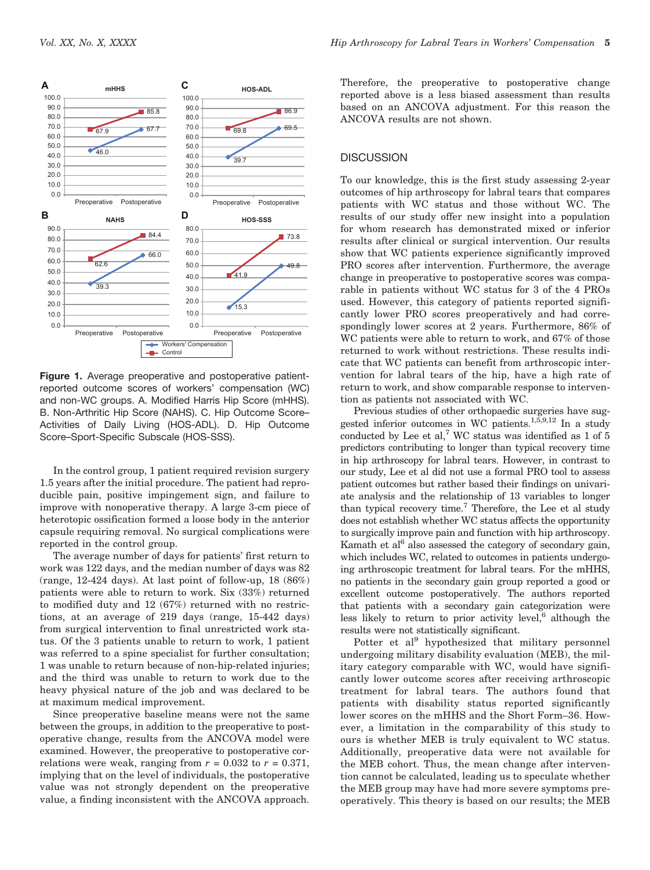

Figure 1. Average preoperative and postoperative patientreported outcome scores of workers' compensation (WC) and non-WC groups. A. Modified Harris Hip Score (mHHS). B. Non-Arthritic Hip Score (NAHS). C. Hip Outcome Score– Activities of Daily Living (HOS-ADL). D. Hip Outcome Score–Sport-Specific Subscale (HOS-SSS).

In the control group, 1 patient required revision surgery 1.5 years after the initial procedure. The patient had reproducible pain, positive impingement sign, and failure to improve with nonoperative therapy. A large 3-cm piece of heterotopic ossification formed a loose body in the anterior capsule requiring removal. No surgical complications were reported in the control group.

The average number of days for patients' first return to work was 122 days, and the median number of days was 82 (range, 12-424 days). At last point of follow-up, 18 (86%) patients were able to return to work. Six (33%) returned to modified duty and 12 (67%) returned with no restrictions, at an average of 219 days (range, 15-442 days) from surgical intervention to final unrestricted work status. Of the 3 patients unable to return to work, 1 patient was referred to a spine specialist for further consultation; 1 was unable to return because of non-hip-related injuries; and the third was unable to return to work due to the heavy physical nature of the job and was declared to be at maximum medical improvement.

Since preoperative baseline means were not the same between the groups, in addition to the preoperative to postoperative change, results from the ANCOVA model were examined. However, the preoperative to postoperative correlations were weak, ranging from  $r = 0.032$  to  $r = 0.371$ , implying that on the level of individuals, the postoperative value was not strongly dependent on the preoperative value, a finding inconsistent with the ANCOVA approach. Therefore, the preoperative to postoperative change reported above is a less biased assessment than results based on an ANCOVA adjustment. For this reason the ANCOVA results are not shown.

## **DISCUSSION**

To our knowledge, this is the first study assessing 2-year outcomes of hip arthroscopy for labral tears that compares patients with WC status and those without WC. The results of our study offer new insight into a population for whom research has demonstrated mixed or inferior results after clinical or surgical intervention. Our results show that WC patients experience significantly improved PRO scores after intervention. Furthermore, the average change in preoperative to postoperative scores was comparable in patients without WC status for 3 of the 4 PROs used. However, this category of patients reported significantly lower PRO scores preoperatively and had correspondingly lower scores at 2 years. Furthermore, 86% of WC patients were able to return to work, and 67% of those returned to work without restrictions. These results indicate that WC patients can benefit from arthroscopic intervention for labral tears of the hip, have a high rate of return to work, and show comparable response to intervention as patients not associated with WC.

Previous studies of other orthopaedic surgeries have suggested inferior outcomes in WC patients.<sup>1,5,9,12</sup> In a study conducted by Lee et al,<sup>7</sup> WC status was identified as  $1$  of  $5$ predictors contributing to longer than typical recovery time in hip arthroscopy for labral tears. However, in contrast to our study, Lee et al did not use a formal PRO tool to assess patient outcomes but rather based their findings on univariate analysis and the relationship of 13 variables to longer than typical recovery time.<sup>7</sup> Therefore, the Lee et al study does not establish whether WC status affects the opportunity to surgically improve pain and function with hip arthroscopy. Kamath et  $al<sup>6</sup>$  also assessed the category of secondary gain, which includes WC, related to outcomes in patients undergoing arthroscopic treatment for labral tears. For the mHHS, no patients in the secondary gain group reported a good or excellent outcome postoperatively. The authors reported that patients with a secondary gain categorization were less likely to return to prior activity level, $6$  although the results were not statistically significant.

Potter et al<sup>9</sup> hypothesized that military personnel undergoing military disability evaluation (MEB), the military category comparable with WC, would have significantly lower outcome scores after receiving arthroscopic treatment for labral tears. The authors found that patients with disability status reported significantly lower scores on the mHHS and the Short Form–36. However, a limitation in the comparability of this study to ours is whether MEB is truly equivalent to WC status. Additionally, preoperative data were not available for the MEB cohort. Thus, the mean change after intervention cannot be calculated, leading us to speculate whether the MEB group may have had more severe symptoms preoperatively. This theory is based on our results; the MEB